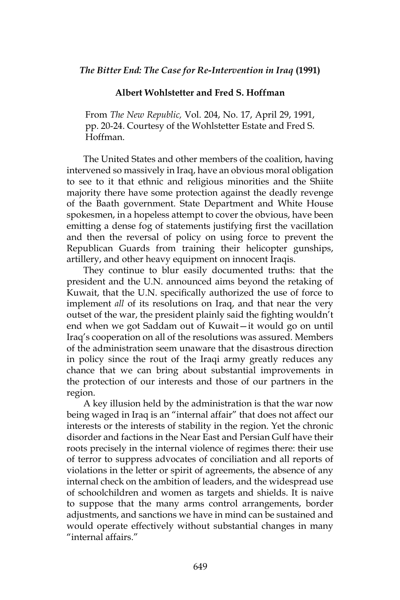## **Albert Wohlstetter and Fred S. Hoffman**

From *The New Republic,* Vol. 204, No. 17, April 29, 1991, pp. 20-24. Courtesy of the Wohlstetter Estate and Fred S. Hoffman.

The United States and other members of the coalition, having intervened so massively in Iraq, have an obvious moral obligation to see to it that ethnic and religious minorities and the Shiite majority there have some protection against the deadly revenge of the Baath government. State Department and White House spokesmen, in a hopeless attempt to cover the obvious, have been emitting a dense fog of statements justifying first the vacillation and then the reversal of policy on using force to prevent the Republican Guards from training their helicopter gunships, artillery, and other heavy equipment on innocent Iraqis.

They continue to blur easily documented truths: that the president and the U.N. announced aims beyond the retaking of Kuwait, that the U.N. specifically authorized the use of force to implement *all* of its resolutions on Iraq, and that near the very outset of the war, the president plainly said the fighting wouldn't end when we got Saddam out of Kuwait—it would go on until Iraq's cooperation on all of the resolutions was assured. Members of the administration seem unaware that the disastrous direction in policy since the rout of the Iraqi army greatly reduces any chance that we can bring about substantial improvements in the protection of our interests and those of our partners in the region.

A key illusion held by the administration is that the war now being waged in Iraq is an "internal affair" that does not affect our interests or the interests of stability in the region. Yet the chronic disorder and factions in the Near East and Persian Gulf have their roots precisely in the internal violence of regimes there: their use of terror to suppress advocates of conciliation and all reports of violations in the letter or spirit of agreements, the absence of any internal check on the ambition of leaders, and the widespread use of schoolchildren and women as targets and shields. It is naive to suppose that the many arms control arrangements, border adjustments, and sanctions we have in mind can be sustained and would operate effectively without substantial changes in many "internal affairs."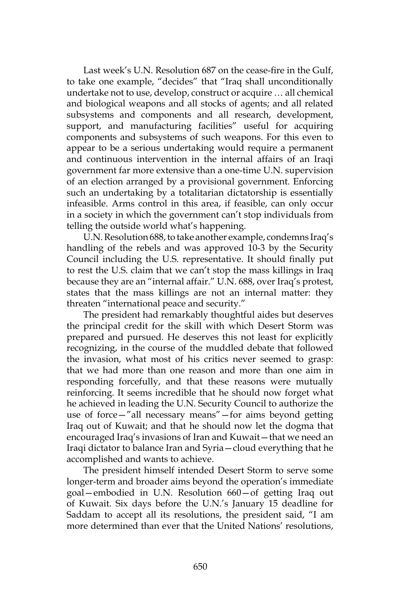Last week's U.N. Resolution 687 on the cease-fire in the Gulf, to take one example, "decides" that "Iraq shall unconditionally undertake not to use, develop, construct or acquire … all chemical and biological weapons and all stocks of agents; and all related subsystems and components and all research, development, support, and manufacturing facilities" useful for acquiring components and subsystems of such weapons. For this even to appear to be a serious undertaking would require a permanent and continuous intervention in the internal affairs of an Iraqi government far more extensive than a one-time U.N. supervision of an election arranged by a provisional government. Enforcing such an undertaking by a totalitarian dictatorship is essentially infeasible. Arms control in this area, if feasible, can only occur in a society in which the government can't stop individuals from telling the outside world what's happening.

U.N. Resolution 688, to take another example, condemns Iraq's handling of the rebels and was approved 10-3 by the Security Council including the U.S. representative. It should finally put to rest the U.S. claim that we can't stop the mass killings in Iraq because they are an "internal affair." U.N. 688, over Iraq's protest, states that the mass killings are not an internal matter: they threaten "international peace and security."

The president had remarkably thoughtful aides but deserves the principal credit for the skill with which Desert Storm was prepared and pursued. He deserves this not least for explicitly recognizing, in the course of the muddled debate that followed the invasion, what most of his critics never seemed to grasp: that we had more than one reason and more than one aim in responding forcefully, and that these reasons were mutually reinforcing. It seems incredible that he should now forget what he achieved in leading the U.N. Security Council to authorize the use of force—"all necessary means"—for aims beyond getting Iraq out of Kuwait; and that he should now let the dogma that encouraged Iraq's invasions of Iran and Kuwait—that we need an Iraqi dictator to balance Iran and Syria—cloud everything that he accomplished and wants to achieve.

The president himself intended Desert Storm to serve some longer-term and broader aims beyond the operation's immediate goal—embodied in U.N. Resolution 660—of getting Iraq out of Kuwait. Six days before the U.N.'s January 15 deadline for Saddam to accept all its resolutions, the president said, "I am more determined than ever that the United Nations' resolutions,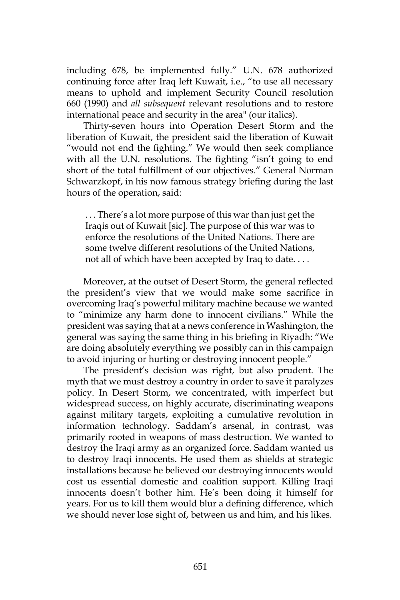including 678, be implemented fully." U.N. 678 authorized continuing force after Iraq left Kuwait, i.e., "to use all necessary means to uphold and implement Security Council resolution 660 (1990) and *all subsequent* relevant resolutions and to restore international peace and security in the area" (our italics).

Thirty-seven hours into Operation Desert Storm and the liberation of Kuwait, the president said the liberation of Kuwait "would not end the fighting." We would then seek compliance with all the U.N. resolutions. The fighting "isn't going to end short of the total fulfillment of our objectives." General Norman Schwarzkopf, in his now famous strategy briefing during the last hours of the operation, said:

. . . There's a lot more purpose of this war than just get the Iraqis out of Kuwait [sic]. The purpose of this war was to enforce the resolutions of the United Nations. There are some twelve different resolutions of the United Nations, not all of which have been accepted by Iraq to date. . . .

Moreover, at the outset of Desert Storm, the general reflected the president's view that we would make some sacrifice in overcoming Iraq's powerful military machine because we wanted to "minimize any harm done to innocent civilians." While the president was saying that at a news conference in Washington, the general was saying the same thing in his briefing in Riyadh: "We are doing absolutely everything we possibly can in this campaign to avoid injuring or hurting or destroying innocent people."

The president's decision was right, but also prudent. The myth that we must destroy a country in order to save it paralyzes policy. In Desert Storm, we concentrated, with imperfect but widespread success, on highly accurate, discriminating weapons against military targets, exploiting a cumulative revolution in information technology. Saddam's arsenal, in contrast, was primarily rooted in weapons of mass destruction. We wanted to destroy the Iraqi army as an organized force. Saddam wanted us to destroy Iraqi innocents. He used them as shields at strategic installations because he believed our destroying innocents would cost us essential domestic and coalition support. Killing Iraqi innocents doesn't bother him. He's been doing it himself for years. For us to kill them would blur a defining difference, which we should never lose sight of, between us and him, and his likes.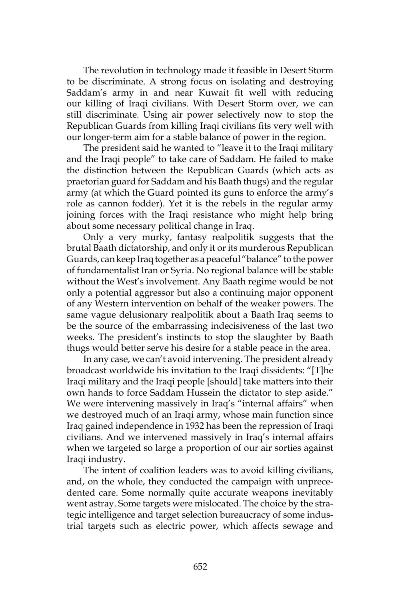The revolution in technology made it feasible in Desert Storm to be discriminate. A strong focus on isolating and destroying Saddam's army in and near Kuwait fit well with reducing our killing of Iraqi civilians. With Desert Storm over, we can still discriminate. Using air power selectively now to stop the Republican Guards from killing Iraqi civilians fits very well with our longer-term aim for a stable balance of power in the region.

The president said he wanted to "leave it to the Iraqi military and the Iraqi people" to take care of Saddam. He failed to make the distinction between the Republican Guards (which acts as praetorian guard for Saddam and his Baath thugs) and the regular army (at which the Guard pointed its guns to enforce the army's role as cannon fodder). Yet it is the rebels in the regular army joining forces with the Iraqi resistance who might help bring about some necessary political change in Iraq.

Only a very murky, fantasy realpolitik suggests that the brutal Baath dictatorship, and only it or its murderous Republican Guards, can keep Iraq together as a peaceful "balance" to the power of fundamentalist Iran or Syria. No regional balance will be stable without the West's involvement. Any Baath regime would be not only a potential aggressor but also a continuing major opponent of any Western intervention on behalf of the weaker powers. The same vague delusionary realpolitik about a Baath Iraq seems to be the source of the embarrassing indecisiveness of the last two weeks. The president's instincts to stop the slaughter by Baath thugs would better serve his desire for a stable peace in the area.

In any case, we can't avoid intervening. The president already broadcast worldwide his invitation to the Iraqi dissidents: "[T]he Iraqi military and the Iraqi people [should] take matters into their own hands to force Saddam Hussein the dictator to step aside." We were intervening massively in Iraq's "internal affairs" when we destroyed much of an Iraqi army, whose main function since Iraq gained independence in 1932 has been the repression of Iraqi civilians. And we intervened massively in Iraq's internal affairs when we targeted so large a proportion of our air sorties against Iraqi industry.

The intent of coalition leaders was to avoid killing civilians, and, on the whole, they conducted the campaign with unprecedented care. Some normally quite accurate weapons inevitably went astray. Some targets were mislocated. The choice by the strategic intelligence and target selection bureaucracy of some industrial targets such as electric power, which affects sewage and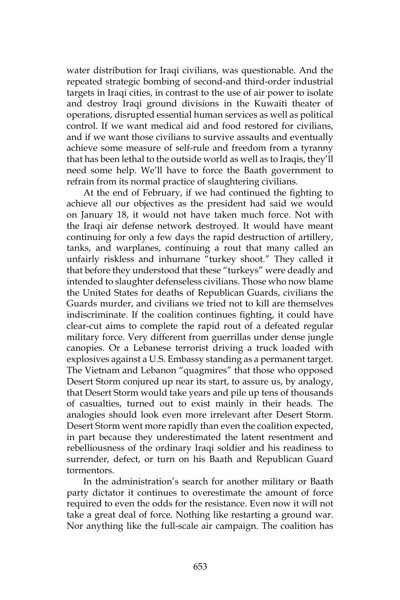water distribution for Iraqi civilians, was questionable. And the repeated strategic bombing of second-and third-order industrial targets in Iraqi cities, in contrast to the use of air power to isolate and destroy Iraqi ground divisions in the Kuwaiti theater of operations, disrupted essential human services as well as political control. If we want medical aid and food restored for civilians, and if we want those civilians to survive assaults and eventually achieve some measure of self-rule and freedom from a tyranny that has been lethal to the outside world as well as to Iraqis, they'll need some help. We'll have to force the Baath government to refrain from its normal practice of slaughtering civilians.

At the end of February, if we had continued the fighting to achieve all our objectives as the president had said we would on January 18, it would not have taken much force. Not with the Iraqi air defense network destroyed. It would have meant continuing for only a few days the rapid destruction of artillery, tanks, and warplanes, continuing a rout that many called an unfairly riskless and inhumane "turkey shoot." They called it that before they understood that these "turkeys" were deadly and intended to slaughter defenseless civilians. Those who now blame the United States for deaths of Republican Guards, civilians the Guards murder, and civilians we tried not to kill are themselves indiscriminate. If the coalition continues fighting, it could have clear-cut aims to complete the rapid rout of a defeated regular military force. Very different from guerrillas under dense jungle canopies. Or a Lebanese terrorist driving a truck loaded with explosives against a U.S. Embassy standing as a permanent target. The Vietnam and Lebanon "quagmires" that those who opposed Desert Storm conjured up near its start, to assure us, by analogy, that Desert Storm would take years and pile up tens of thousands of casualties, turned out to exist mainly in their heads. The analogies should look even more irrelevant after Desert Storm. Desert Storm went more rapidly than even the coalition expected, in part because they underestimated the latent resentment and rebelliousness of the ordinary Iraqi soldier and his readiness to surrender, defect, or turn on his Baath and Republican Guard tormentors.

In the administration's search for another military or Baath party dictator it continues to overestimate the amount of force required to even the odds for the resistance. Even now it will not take a great deal of force. Nothing like restarting a ground war. Nor anything like the full-scale air campaign. The coalition has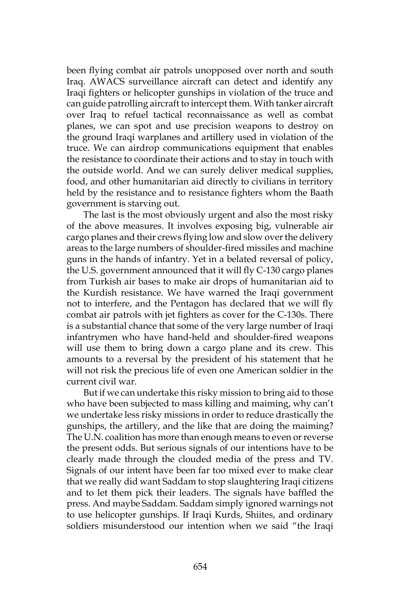been flying combat air patrols unopposed over north and south Iraq. AWACS surveillance aircraft can detect and identify any Iraqi fighters or helicopter gunships in violation of the truce and can guide patrolling aircraft to intercept them. With tanker aircraft over Iraq to refuel tactical reconnaissance as well as combat planes, we can spot and use precision weapons to destroy on the ground Iraqi warplanes and artillery used in violation of the truce. We can airdrop communications equipment that enables the resistance to coordinate their actions and to stay in touch with the outside world. And we can surely deliver medical supplies, food, and other humanitarian aid directly to civilians in territory held by the resistance and to resistance fighters whom the Baath government is starving out.

The last is the most obviously urgent and also the most risky of the above measures. It involves exposing big, vulnerable air cargo planes and their crews flying low and slow over the delivery areas to the large numbers of shoulder-fired missiles and machine guns in the hands of infantry. Yet in a belated reversal of policy, the U.S. government announced that it will fly C-130 cargo planes from Turkish air bases to make air drops of humanitarian aid to the Kurdish resistance. We have warned the Iraqi government not to interfere, and the Pentagon has declared that we will fly combat air patrols with jet fighters as cover for the C-130s. There is a substantial chance that some of the very large number of Iraqi infantrymen who have hand-held and shoulder-fired weapons will use them to bring down a cargo plane and its crew. This amounts to a reversal by the president of his statement that he will not risk the precious life of even one American soldier in the current civil war.

But if we can undertake this risky mission to bring aid to those who have been subjected to mass killing and maiming, why can't we undertake less risky missions in order to reduce drastically the gunships, the artillery, and the like that are doing the maiming? The U.N. coalition has more than enough means to even or reverse the present odds. But serious signals of our intentions have to be clearly made through the clouded media of the press and TV. Signals of our intent have been far too mixed ever to make clear that we really did want Saddam to stop slaughtering Iraqi citizens and to let them pick their leaders. The signals have baffled the press. And maybe Saddam. Saddam simply ignored warnings not to use helicopter gunships. If Iraqi Kurds, Shiites, and ordinary soldiers misunderstood our intention when we said "the Iraqi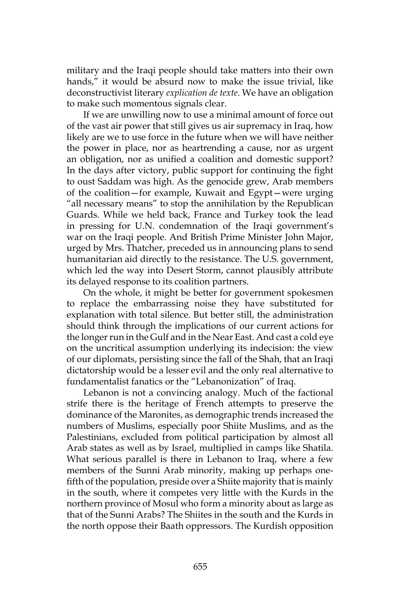military and the Iraqi people should take matters into their own hands," it would be absurd now to make the issue trivial, like deconstructivist literary *explication de texte*. We have an obligation to make such momentous signals clear.

If we are unwilling now to use a minimal amount of force out of the vast air power that still gives us air supremacy in Iraq, how likely are we to use force in the future when we will have neither the power in place, nor as heartrending a cause, nor as urgent an obligation, nor as unified a coalition and domestic support? In the days after victory, public support for continuing the fight to oust Saddam was high. As the genocide grew, Arab members of the coalition—for example, Kuwait and Egypt—were urging "all necessary means" to stop the annihilation by the Republican Guards. While we held back, France and Turkey took the lead in pressing for U.N. condemnation of the Iraqi government's war on the Iraqi people. And British Prime Minister John Major, urged by Mrs. Thatcher, preceded us in announcing plans to send humanitarian aid directly to the resistance. The U.S. government, which led the way into Desert Storm, cannot plausibly attribute its delayed response to its coalition partners.

On the whole, it might be better for government spokesmen to replace the embarrassing noise they have substituted for explanation with total silence. But better still, the administration should think through the implications of our current actions for the longer run in the Gulf and in the Near East. And cast a cold eye on the uncritical assumption underlying its indecision: the view of our diplomats, persisting since the fall of the Shah, that an Iraqi dictatorship would be a lesser evil and the only real alternative to fundamentalist fanatics or the "Lebanonization" of Iraq.

Lebanon is not a convincing analogy. Much of the factional strife there is the heritage of French attempts to preserve the dominance of the Maronites, as demographic trends increased the numbers of Muslims, especially poor Shiite Muslims, and as the Palestinians, excluded from political participation by almost all Arab states as well as by Israel, multiplied in camps like Shatila. What serious parallel is there in Lebanon to Iraq, where a few members of the Sunni Arab minority, making up perhaps onefifth of the population, preside over a Shiite majority that is mainly in the south, where it competes very little with the Kurds in the northern province of Mosul who form a minority about as large as that of the Sunni Arabs? The Shiites in the south and the Kurds in the north oppose their Baath oppressors. The Kurdish opposition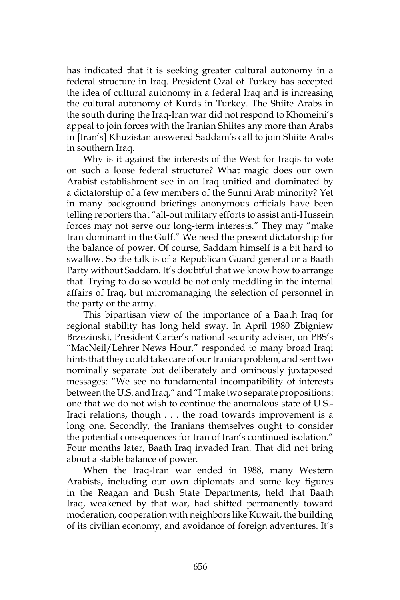has indicated that it is seeking greater cultural autonomy in a federal structure in Iraq. President Ozal of Turkey has accepted the idea of cultural autonomy in a federal Iraq and is increasing the cultural autonomy of Kurds in Turkey. The Shiite Arabs in the south during the Iraq-Iran war did not respond to Khomeini's appeal to join forces with the Iranian Shiites any more than Arabs in [Iran's] Khuzistan answered Saddam's call to join Shiite Arabs in southern Iraq.

Why is it against the interests of the West for Iraqis to vote on such a loose federal structure? What magic does our own Arabist establishment see in an Iraq unified and dominated by a dictatorship of a few members of the Sunni Arab minority? Yet in many background briefings anonymous officials have been telling reporters that "all-out military efforts to assist anti-Hussein forces may not serve our long-term interests." They may "make Iran dominant in the Gulf." We need the present dictatorship for the balance of power. Of course, Saddam himself is a bit hard to swallow. So the talk is of a Republican Guard general or a Baath Party without Saddam. It's doubtful that we know how to arrange that. Trying to do so would be not only meddling in the internal affairs of Iraq, but micromanaging the selection of personnel in the party or the army.

This bipartisan view of the importance of a Baath Iraq for regional stability has long held sway. In April 1980 Zbigniew Brzezinski, President Carter's national security adviser, on PBS's "MacNeil/Lehrer News Hour," responded to many broad Iraqi hints that they could take care of our Iranian problem, and sent two nominally separate but deliberately and ominously juxtaposed messages: "We see no fundamental incompatibility of interests between the U.S. and Iraq," and "I make two separate propositions: one that we do not wish to continue the anomalous state of U.S.- Iraqi relations, though . . . the road towards improvement is a long one. Secondly, the Iranians themselves ought to consider the potential consequences for Iran of Iran's continued isolation." Four months later, Baath Iraq invaded Iran. That did not bring about a stable balance of power.

When the Iraq-Iran war ended in 1988, many Western Arabists, including our own diplomats and some key figures in the Reagan and Bush State Departments, held that Baath Iraq, weakened by that war, had shifted permanently toward moderation, cooperation with neighbors like Kuwait, the building of its civilian economy, and avoidance of foreign adventures. It's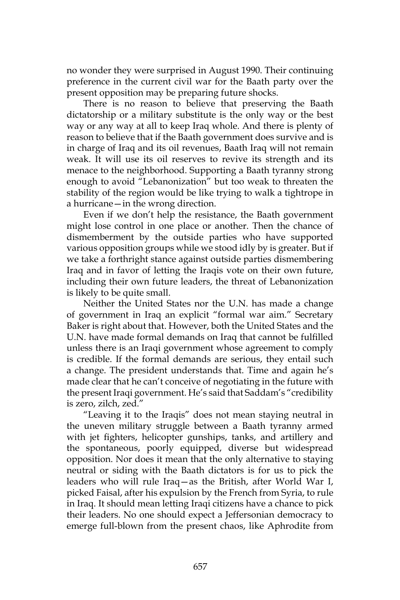no wonder they were surprised in August 1990. Their continuing preference in the current civil war for the Baath party over the present opposition may be preparing future shocks.

There is no reason to believe that preserving the Baath dictatorship or a military substitute is the only way or the best way or any way at all to keep Iraq whole. And there is plenty of reason to believe that if the Baath government does survive and is in charge of Iraq and its oil revenues, Baath Iraq will not remain weak. It will use its oil reserves to revive its strength and its menace to the neighborhood. Supporting a Baath tyranny strong enough to avoid "Lebanonization" but too weak to threaten the stability of the region would be like trying to walk a tightrope in a hurricane—in the wrong direction.

Even if we don't help the resistance, the Baath government might lose control in one place or another. Then the chance of dismemberment by the outside parties who have supported various opposition groups while we stood idly by is greater. But if we take a forthright stance against outside parties dismembering Iraq and in favor of letting the Iraqis vote on their own future, including their own future leaders, the threat of Lebanonization is likely to be quite small.

Neither the United States nor the U.N. has made a change of government in Iraq an explicit "formal war aim." Secretary Baker is right about that. However, both the United States and the U.N. have made formal demands on Iraq that cannot be fulfilled unless there is an Iraqi government whose agreement to comply is credible. If the formal demands are serious, they entail such a change. The president understands that. Time and again he's made clear that he can't conceive of negotiating in the future with the present Iraqi government. He's said that Saddam's "credibility is zero, zilch, zed."

"Leaving it to the Iraqis" does not mean staying neutral in the uneven military struggle between a Baath tyranny armed with jet fighters, helicopter gunships, tanks, and artillery and the spontaneous, poorly equipped, diverse but widespread opposition. Nor does it mean that the only alternative to staying neutral or siding with the Baath dictators is for us to pick the leaders who will rule Iraq—as the British, after World War I, picked Faisal, after his expulsion by the French from Syria, to rule in Iraq. It should mean letting Iraqi citizens have a chance to pick their leaders. No one should expect a Jeffersonian democracy to emerge full-blown from the present chaos, like Aphrodite from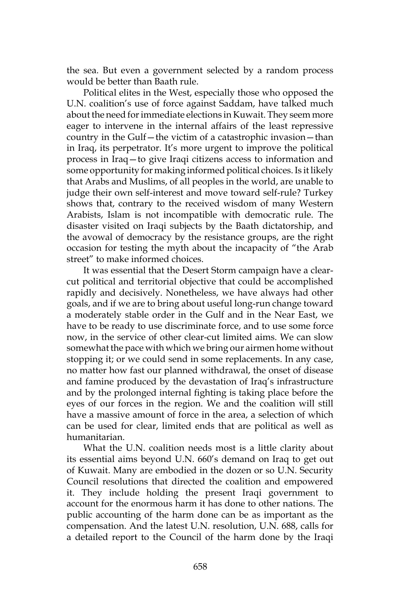the sea. But even a government selected by a random process would be better than Baath rule.

Political elites in the West, especially those who opposed the U.N. coalition's use of force against Saddam, have talked much about the need for immediate elections in Kuwait. They seem more eager to intervene in the internal affairs of the least repressive country in the Gulf—the victim of a catastrophic invasion—than in Iraq, its perpetrator. It's more urgent to improve the political process in Iraq—to give Iraqi citizens access to information and some opportunity for making informed political choices. Is it likely that Arabs and Muslims, of all peoples in the world, are unable to judge their own self-interest and move toward self-rule? Turkey shows that, contrary to the received wisdom of many Western Arabists, Islam is not incompatible with democratic rule. The disaster visited on Iraqi subjects by the Baath dictatorship, and the avowal of democracy by the resistance groups, are the right occasion for testing the myth about the incapacity of "the Arab street" to make informed choices.

It was essential that the Desert Storm campaign have a clearcut political and territorial objective that could be accomplished rapidly and decisively. Nonetheless, we have always had other goals, and if we are to bring about useful long-run change toward a moderately stable order in the Gulf and in the Near East, we have to be ready to use discriminate force, and to use some force now, in the service of other clear-cut limited aims. We can slow somewhat the pace with which we bring our airmen home without stopping it; or we could send in some replacements. In any case, no matter how fast our planned withdrawal, the onset of disease and famine produced by the devastation of Iraq's infrastructure and by the prolonged internal fighting is taking place before the eyes of our forces in the region. We and the coalition will still have a massive amount of force in the area, a selection of which can be used for clear, limited ends that are political as well as humanitarian.

What the U.N. coalition needs most is a little clarity about its essential aims beyond U.N. 660's demand on Iraq to get out of Kuwait. Many are embodied in the dozen or so U.N. Security Council resolutions that directed the coalition and empowered it. They include holding the present Iraqi government to account for the enormous harm it has done to other nations. The public accounting of the harm done can be as important as the compensation. And the latest U.N. resolution, U.N. 688, calls for a detailed report to the Council of the harm done by the Iraqi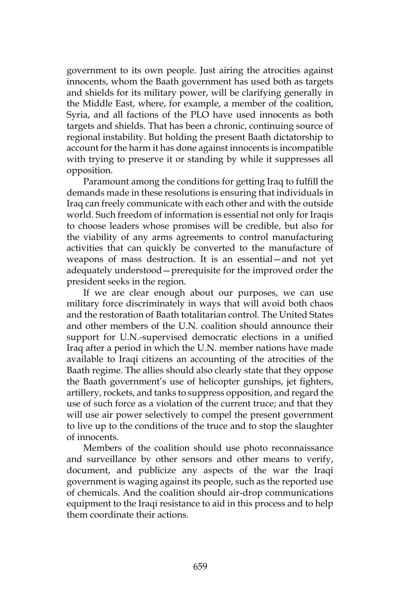government to its own people. Just airing the atrocities against innocents, whom the Baath government has used both as targets and shields for its military power, will be clarifying generally in the Middle East, where, for example, a member of the coalition, Syria, and all factions of the PLO have used innocents as both targets and shields. That has been a chronic, continuing source of regional instability. But holding the present Baath dictatorship to account for the harm it has done against innocents is incompatible with trying to preserve it or standing by while it suppresses all opposition.

Paramount among the conditions for getting Iraq to fulfill the demands made in these resolutions is ensuring that individuals in Iraq can freely communicate with each other and with the outside world. Such freedom of information is essential not only for Iraqis to choose leaders whose promises will be credible, but also for the viability of any arms agreements to control manufacturing activities that can quickly be converted to the manufacture of weapons of mass destruction. It is an essential—and not yet adequately understood—prerequisite for the improved order the president seeks in the region.

If we are clear enough about our purposes, we can use military force discriminately in ways that will avoid both chaos and the restoration of Baath totalitarian control. The United States and other members of the U.N. coalition should announce their support for U.N.-supervised democratic elections in a unified Iraq after a period in which the U.N. member nations have made available to Iraqi citizens an accounting of the atrocities of the Baath regime. The allies should also clearly state that they oppose the Baath government's use of helicopter gunships, jet fighters, artillery, rockets, and tanks to suppress opposition, and regard the use of such force as a violation of the current truce; and that they will use air power selectively to compel the present government to live up to the conditions of the truce and to stop the slaughter of innocents.

Members of the coalition should use photo reconnaissance and surveillance by other sensors and other means to verify, document, and publicize any aspects of the war the Iraqi government is waging against its people, such as the reported use of chemicals. And the coalition should air-drop communications equipment to the Iraqi resistance to aid in this process and to help them coordinate their actions.